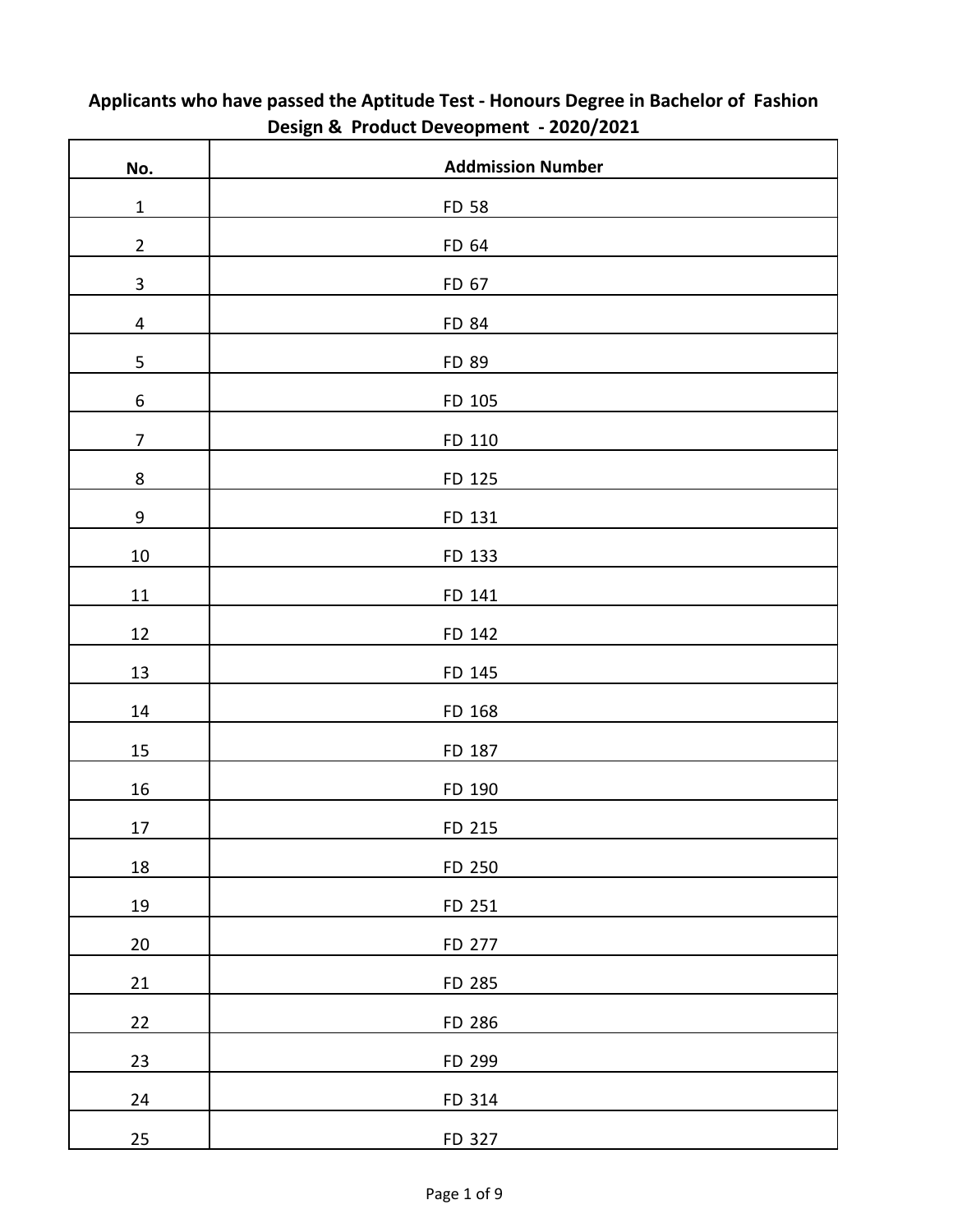| No.                     | <b>Addmission Number</b> |
|-------------------------|--------------------------|
| $\mathbf{1}$            | FD 58                    |
| $\overline{2}$          | FD 64                    |
| $\mathbf{3}$            | FD 67                    |
| $\overline{\mathbf{4}}$ | FD 84                    |
| 5                       | FD 89                    |
| $\boldsymbol{6}$        | FD 105                   |
| $\overline{7}$          | FD 110                   |
| $\bf 8$                 | FD 125                   |
| 9                       | FD 131                   |
| $10\,$                  | FD 133                   |
| $11\,$                  | FD 141                   |
| 12                      | FD 142                   |
| 13                      | FD 145                   |
| $14\,$                  | FD 168                   |
| $15\,$                  | FD 187                   |
| 16                      | FD 190                   |
| 17                      | FD 215                   |
| 18                      | FD 250                   |
| 19                      | FD 251                   |
| 20                      | FD 277                   |
| 21                      | FD 285                   |
| 22                      | FD 286                   |
| 23                      | FD 299                   |
| 24                      | FD 314                   |
| 25                      | FD 327                   |

## **Applicants who have passed the Aptitude Test - Honours Degree in Bachelor of Fashion Design & Product Deveopment - 2020/2021**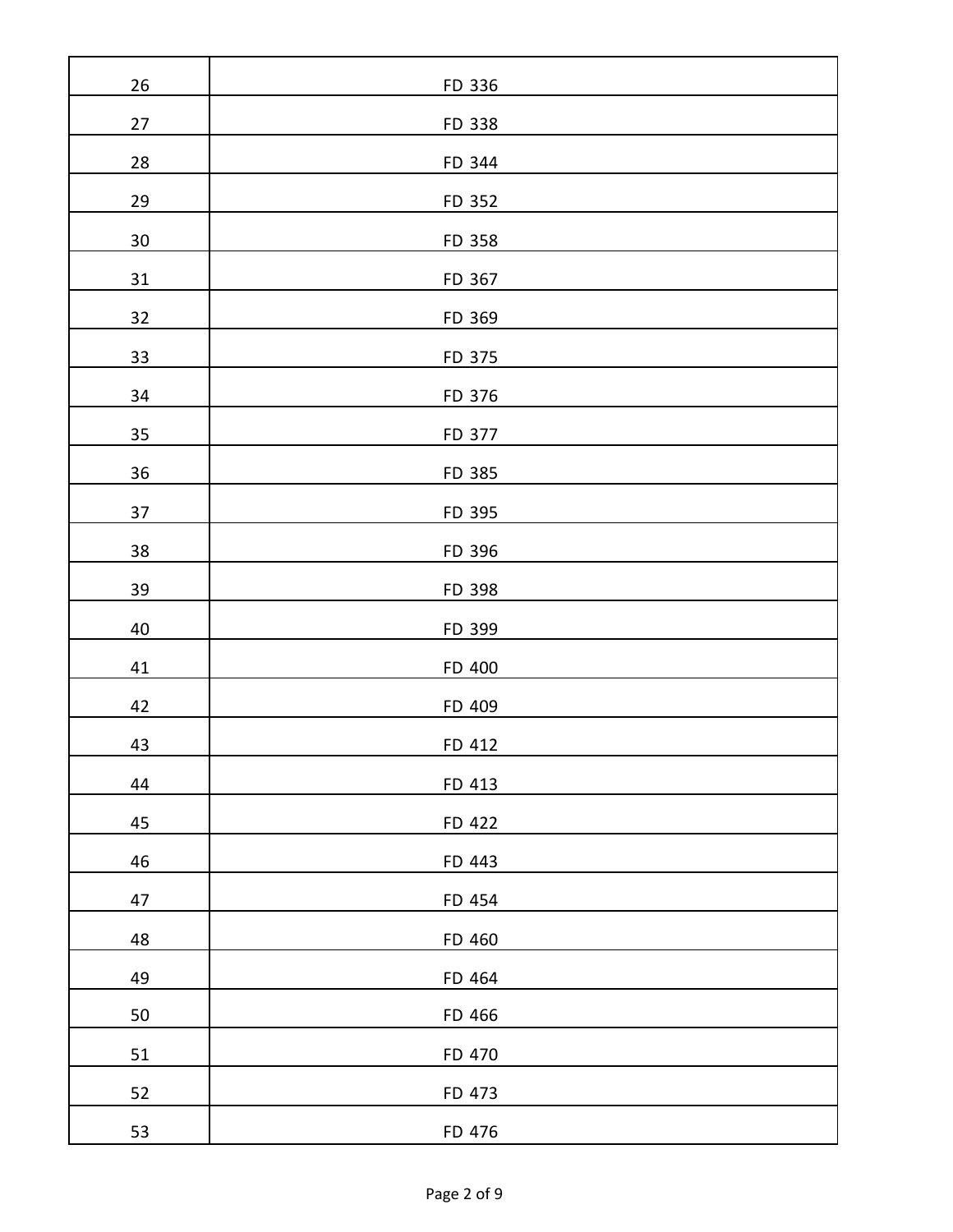| 26        | FD 336 |
|-----------|--------|
| $27$      | FD 338 |
| <b>28</b> | FD 344 |
| 29        | FD 352 |
| 30        | FD 358 |
| 31        | FD 367 |
| 32        | FD 369 |
| 33        | FD 375 |
| 34        | FD 376 |
| 35        | FD 377 |
| 36        | FD 385 |
| 37        | FD 395 |
| 38        | FD 396 |
| 39        | FD 398 |
| 40        | FD 399 |
| 41        | FD 400 |
| 42        | FD 409 |
| 43        | FD 412 |
| 44        | FD 413 |
| 45        | FD 422 |
| 46        | FD 443 |
| 47        | FD 454 |
| 48        | FD 460 |
| 49        | FD 464 |
| 50        | FD 466 |
| 51        | FD 470 |
| 52        | FD 473 |
| 53        | FD 476 |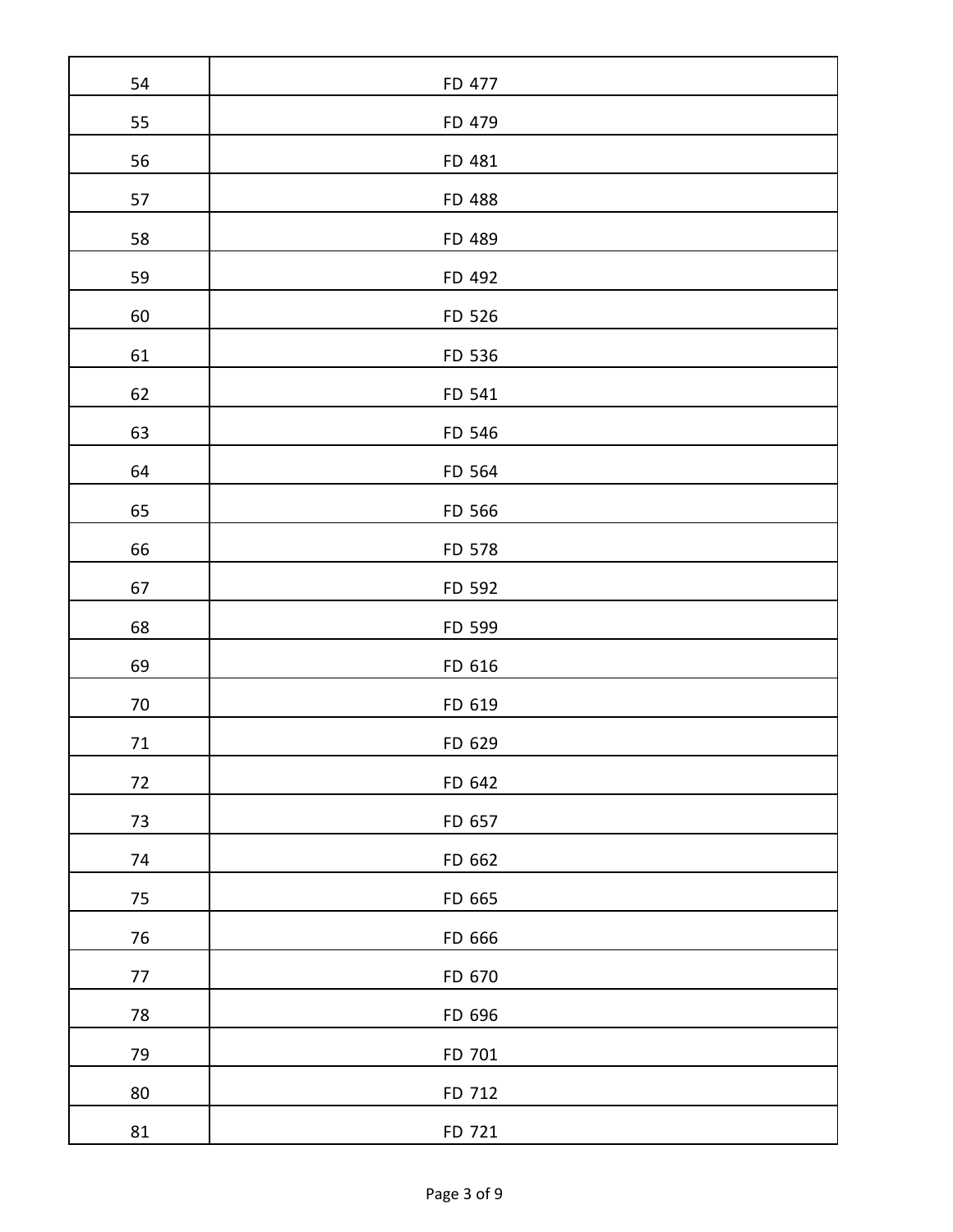| 54         | FD 477 |
|------------|--------|
| 55         | FD 479 |
| 56         | FD 481 |
| 57         | FD 488 |
| 58         | FD 489 |
| 59         | FD 492 |
| 60         | FD 526 |
| 61         | FD 536 |
| 62         | FD 541 |
| 63         | FD 546 |
| 64         | FD 564 |
| 65         | FD 566 |
| 66         | FD 578 |
| 67         | FD 592 |
| 68         | FD 599 |
| 69         | FD 616 |
| $70\,$     | FD 619 |
| $71\,$     | FD 629 |
| $72\,$     | FD 642 |
| $73\,$     | FD 657 |
| 74         | FD 662 |
| $75\,$     | FD 665 |
| $76\,$     | FD 666 |
| $77\,$     | FD 670 |
| ${\bf 78}$ | FD 696 |
| 79         | FD 701 |
| $80\,$     | FD 712 |
| 81         | FD 721 |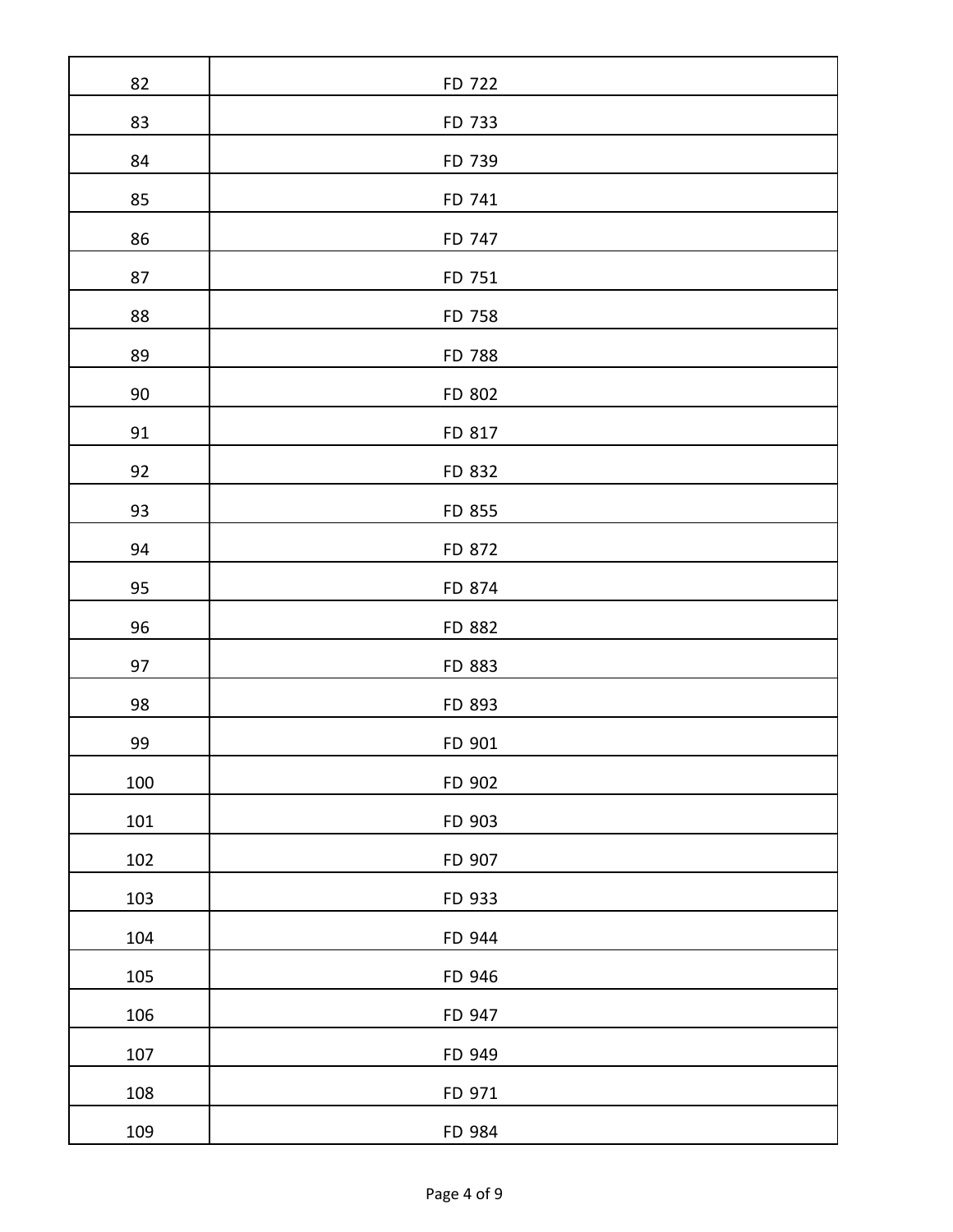| 82  | FD 722 |
|-----|--------|
| 83  | FD 733 |
| 84  | FD 739 |
| 85  | FD 741 |
| 86  | FD 747 |
| 87  | FD 751 |
| 88  | FD 758 |
| 89  | FD 788 |
| 90  | FD 802 |
| 91  | FD 817 |
| 92  | FD 832 |
| 93  | FD 855 |
| 94  | FD 872 |
| 95  | FD 874 |
| 96  | FD 882 |
| 97  | FD 883 |
| 98  | FD 893 |
| 99  | FD 901 |
| 100 | FD 902 |
| 101 | FD 903 |
| 102 | FD 907 |
| 103 | FD 933 |
| 104 | FD 944 |
| 105 | FD 946 |
| 106 | FD 947 |
| 107 | FD 949 |
| 108 | FD 971 |
| 109 | FD 984 |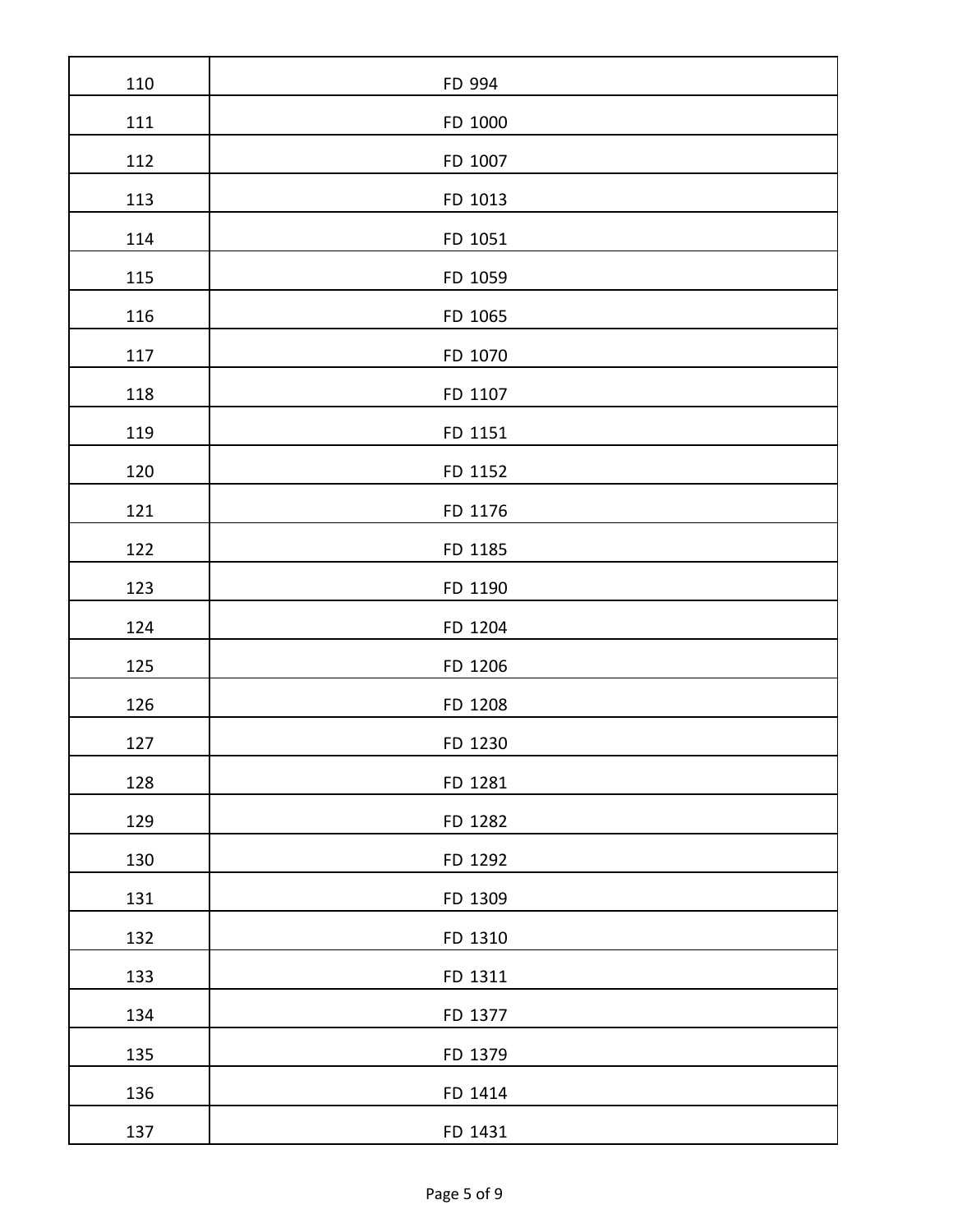| 110 | FD 994  |
|-----|---------|
| 111 | FD 1000 |
| 112 | FD 1007 |
| 113 | FD 1013 |
| 114 | FD 1051 |
| 115 | FD 1059 |
| 116 | FD 1065 |
| 117 | FD 1070 |
| 118 | FD 1107 |
| 119 | FD 1151 |
| 120 | FD 1152 |
| 121 | FD 1176 |
| 122 | FD 1185 |
| 123 | FD 1190 |
| 124 | FD 1204 |
| 125 | FD 1206 |
| 126 | FD 1208 |
| 127 | FD 1230 |
| 128 | FD 1281 |
| 129 | FD 1282 |
| 130 | FD 1292 |
| 131 | FD 1309 |
| 132 | FD 1310 |
| 133 | FD 1311 |
| 134 | FD 1377 |
| 135 | FD 1379 |
| 136 | FD 1414 |
| 137 | FD 1431 |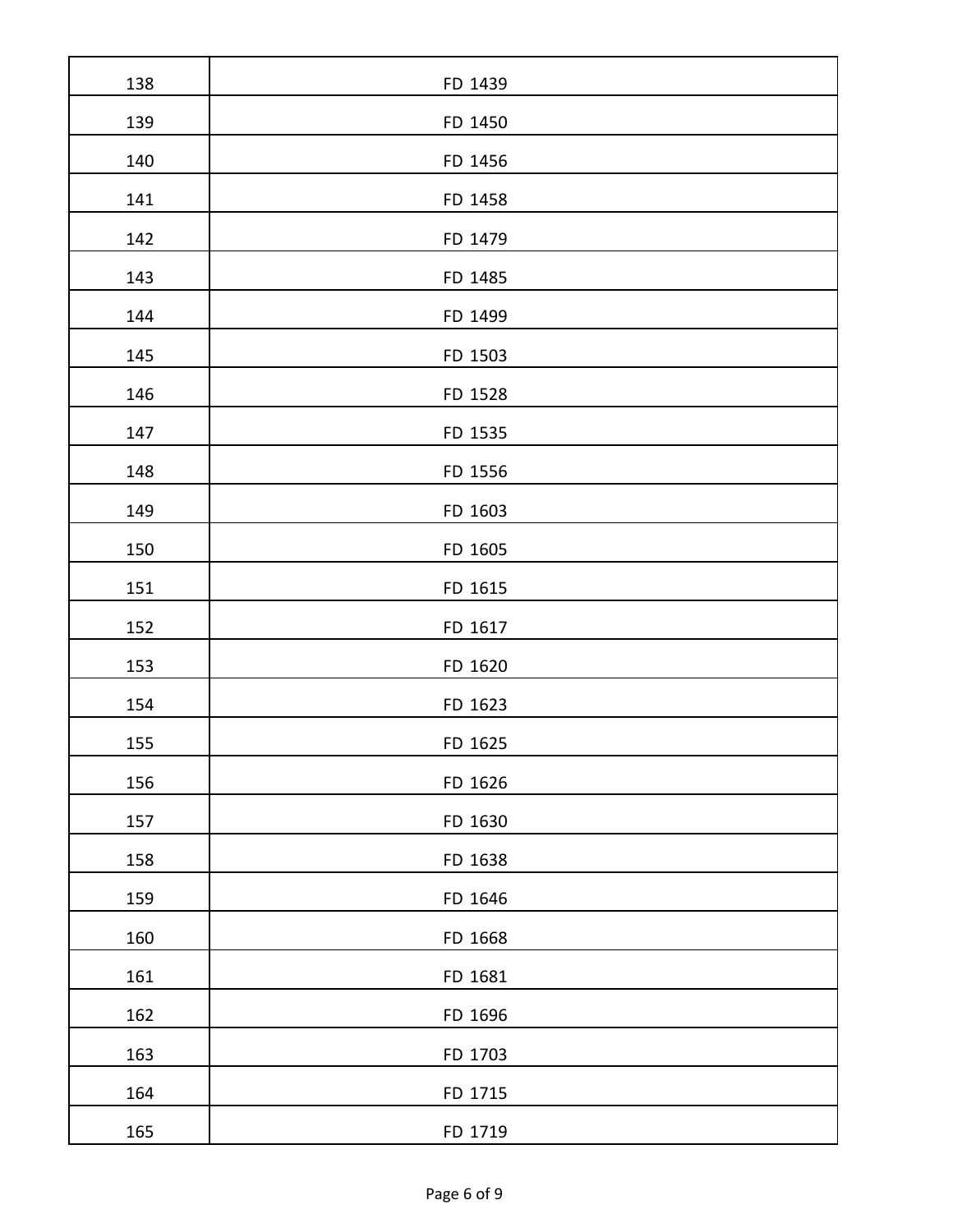| 138 | FD 1439 |
|-----|---------|
| 139 | FD 1450 |
| 140 | FD 1456 |
| 141 | FD 1458 |
| 142 | FD 1479 |
| 143 | FD 1485 |
| 144 | FD 1499 |
| 145 | FD 1503 |
| 146 | FD 1528 |
| 147 | FD 1535 |
| 148 | FD 1556 |
| 149 | FD 1603 |
| 150 | FD 1605 |
| 151 | FD 1615 |
| 152 | FD 1617 |
| 153 | FD 1620 |
| 154 | FD 1623 |
| 155 | FD 1625 |
| 156 | FD 1626 |
| 157 | FD 1630 |
| 158 | FD 1638 |
| 159 | FD 1646 |
| 160 | FD 1668 |
| 161 | FD 1681 |
| 162 | FD 1696 |
| 163 | FD 1703 |
| 164 | FD 1715 |
| 165 | FD 1719 |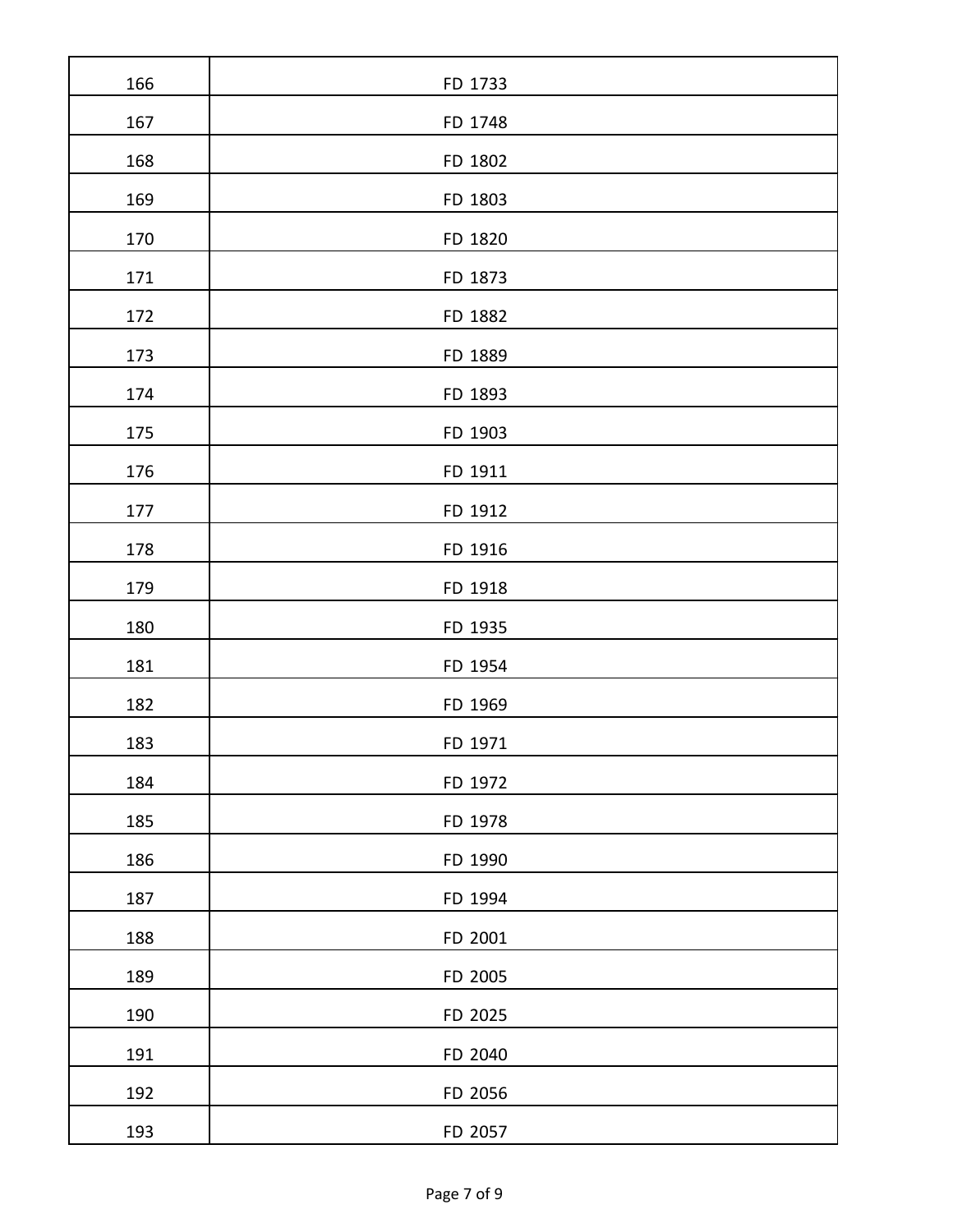| 166 | FD 1733 |
|-----|---------|
| 167 | FD 1748 |
| 168 | FD 1802 |
| 169 | FD 1803 |
| 170 | FD 1820 |
| 171 | FD 1873 |
| 172 | FD 1882 |
| 173 | FD 1889 |
| 174 | FD 1893 |
| 175 | FD 1903 |
| 176 | FD 1911 |
| 177 | FD 1912 |
| 178 | FD 1916 |
| 179 | FD 1918 |
| 180 | FD 1935 |
| 181 | FD 1954 |
| 182 | FD 1969 |
| 183 | FD 1971 |
| 184 | FD 1972 |
| 185 | FD 1978 |
| 186 | FD 1990 |
| 187 | FD 1994 |
| 188 | FD 2001 |
| 189 | FD 2005 |
| 190 | FD 2025 |
| 191 | FD 2040 |
| 192 | FD 2056 |
| 193 | FD 2057 |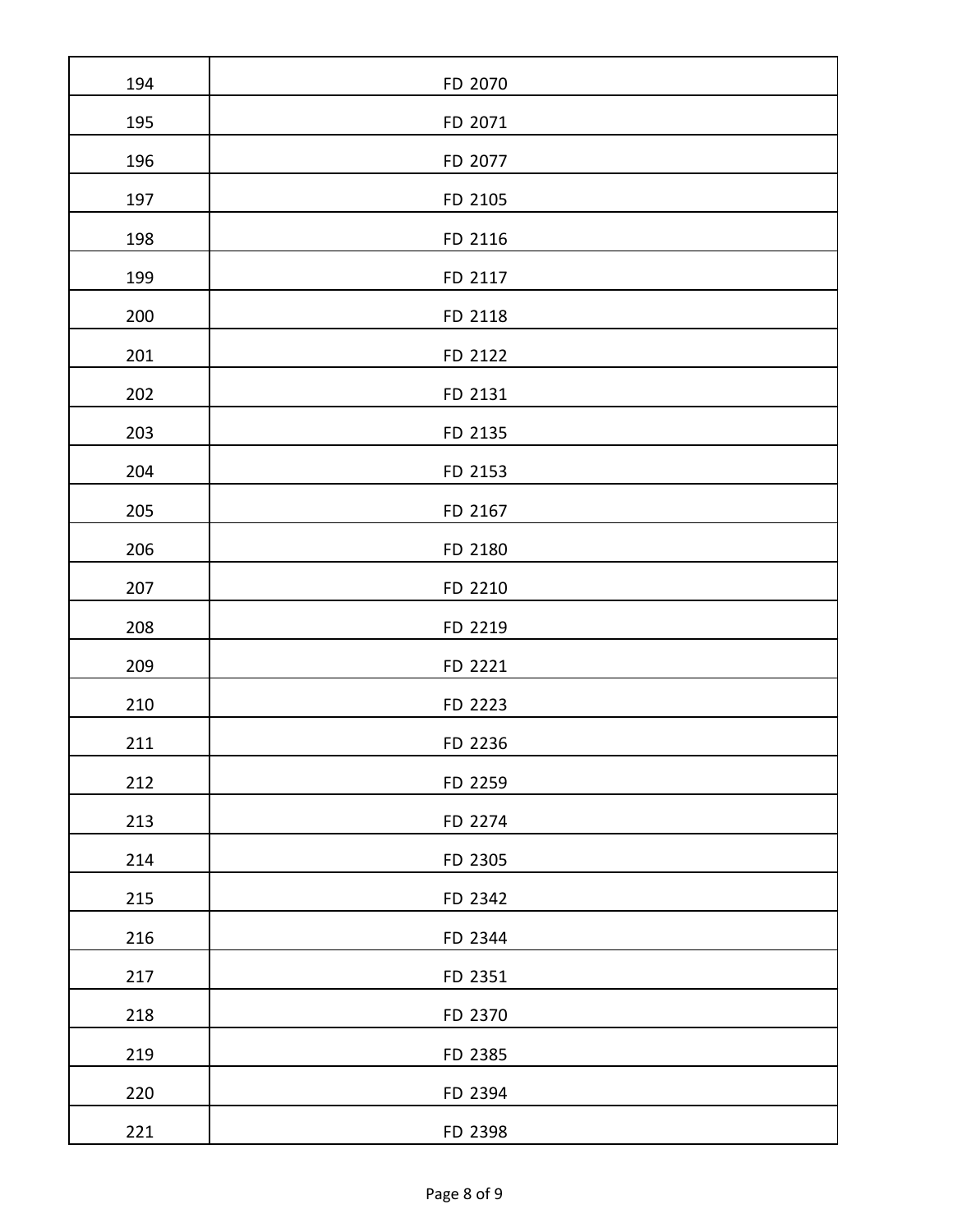| 194 | FD 2070 |
|-----|---------|
| 195 | FD 2071 |
| 196 | FD 2077 |
| 197 | FD 2105 |
| 198 | FD 2116 |
| 199 | FD 2117 |
| 200 | FD 2118 |
| 201 | FD 2122 |
| 202 | FD 2131 |
| 203 | FD 2135 |
| 204 | FD 2153 |
| 205 | FD 2167 |
| 206 | FD 2180 |
| 207 | FD 2210 |
| 208 | FD 2219 |
| 209 | FD 2221 |
| 210 | FD 2223 |
| 211 | FD 2236 |
| 212 | FD 2259 |
| 213 | FD 2274 |
| 214 | FD 2305 |
| 215 | FD 2342 |
| 216 | FD 2344 |
| 217 | FD 2351 |
| 218 | FD 2370 |
| 219 | FD 2385 |
| 220 | FD 2394 |
| 221 | FD 2398 |